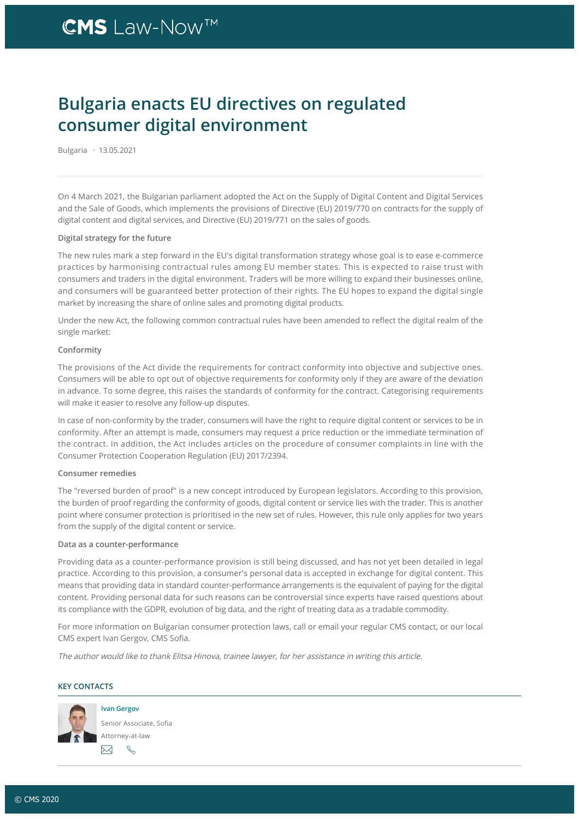## **CMS** Law-Now<sup>™</sup>

### Bulgaria enacts EU directives on regulated consumer digital environment

Bulgaria · 13.05.2021

On 4 March 2021, the Bulgarian parliament adopted the Act on the Supply of Digital Content and Digital Services and the Sale of Goods, which implements the provisions of Directive (EU) 2019/770 on contracts for the supply of digital content and digital services, and Directive (EU) 2019/771 on the sales of goods.

#### Digital strategy for the future

The new rules mark a step forward in the EU's digital transformation strategy whose goal is to ease e-commerce practices by harmonising contractual rules among EU member states. This is expected to raise trust with consumers and traders in the digital environment. Traders will be more willing to expand their businesses online, and consumers will be guaranteed better protection of their rights. The EU hopes to expand the digital single market by increasing the share of online sales and promoting digital products.

Under the new Act, the following common contractual rules have been amended to reflect the digital realm of the single market:

#### Conformity

The provisions of the Act divide the requirements for contract conformity into objective and subjective ones. Consumers will be able to opt out of objective requirements for conformity only if they are aware of the deviation in advance. To some degree, this raises the standards of conformity for the contract. Categorising requirements will make it easier to resolve any follow-up disputes.

In case of non-conformity by the trader, consumers will have the right to require digital content or services to be in conformity. After an attempt is made, consumers may request a price reduction or the immediate termination of the contract. In addition, the Act includes articles on the procedure of consumer complaints in line with the Consumer Protection Cooperation Regulation (EU) 2017/2394.

#### Consumer remedies

The "reversed burden of proof" is a new concept introduced by European legislators. According to this provision, the burden of proof regarding the conformity of goods, digital content or service lies with the trader. This is another point where consumer protection is prioritised in the new set of rules. However, this rule only applies for two years from the supply of the digital content or service.

#### Data as a counter-performance

Providing data as a counter-performance provision is still being discussed, and has not yet been detailed in legal practice. According to this provision, a consumer's personal data is accepted in exchange for digital content. This means that providing data in standard counter-performance arrangements is the equivalent of paying for the digital content. Providing personal data for such reasons can be controversial since experts have raised questions about its compliance with the GDPR, evolution of big data, and the right of treating data as a tradable commodity.

For more information on Bulgarian consumer protection laws, call or email your regular CMS contact, or our local CMS expert Ivan Gergov, CMS Sofia.

The author would like to thank Elitsa Hinova, trainee lawyer, for her assistance in writing this article.

### KEY CONTACTS



[Ivan Gergov](https://cms.law/en/bgr/people/ivan-gergov) Senior Associate, Sofia Attorney-at-law  $\boxtimes$ R